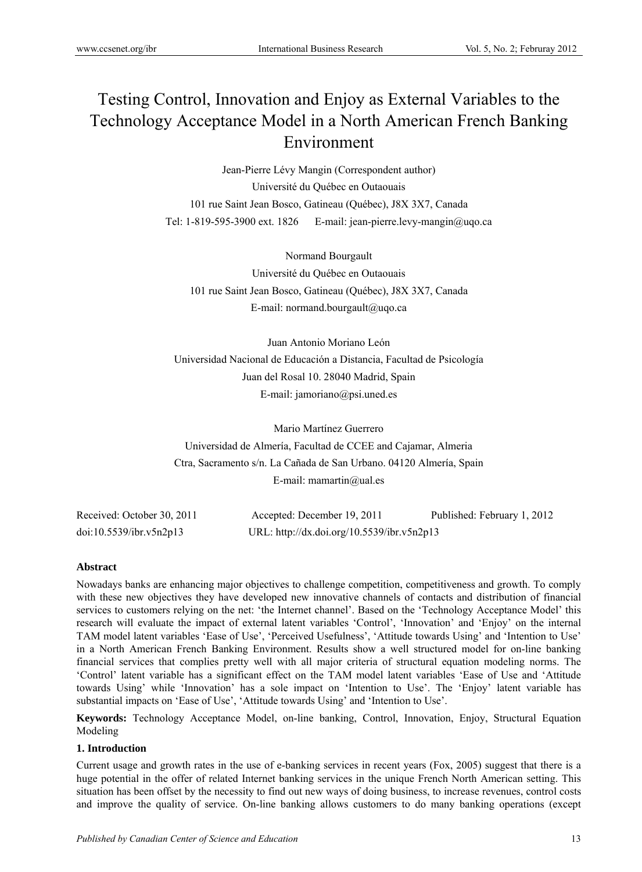# Testing Control, Innovation and Enjoy as External Variables to the Technology Acceptance Model in a North American French Banking Environment

Jean-Pierre Lévy Mangin (Correspondent author) Université du Québec en Outaouais 101 rue Saint Jean Bosco, Gatineau (Québec), J8X 3X7, Canada Tel: 1-819-595-3900 ext. 1826 E-mail: jean-pierre.levy-mangin@uqo.ca

Normand Bourgault Université du Québec en Outaouais 101 rue Saint Jean Bosco, Gatineau (Québec), J8X 3X7, Canada E-mail: normand.bourgault@uqo.ca

Juan Antonio Moriano León Universidad Nacional de Educación a Distancia, Facultad de Psicología Juan del Rosal 10. 28040 Madrid, Spain E-mail: jamoriano@psi.uned.es

Mario Martínez Guerrero Universidad de Almería, Facultad de CCEE and Cajamar, Almeria Ctra, Sacramento s/n. La Cañada de San Urbano. 04120 Almería, Spain E-mail: mamartin@ual.es

| Received: October 30, 2011 | Accepted: December 19, 2011                | Published: February 1, 2012 |
|----------------------------|--------------------------------------------|-----------------------------|
| doi:10.5539/ibr.v5n2p13    | URL: http://dx.doi.org/10.5539/ibr.v5n2p13 |                             |

#### **Abstract**

Nowadays banks are enhancing major objectives to challenge competition, competitiveness and growth. To comply with these new objectives they have developed new innovative channels of contacts and distribution of financial services to customers relying on the net: 'the Internet channel'. Based on the 'Technology Acceptance Model' this research will evaluate the impact of external latent variables 'Control', 'Innovation' and 'Enjoy' on the internal TAM model latent variables 'Ease of Use', 'Perceived Usefulness', 'Attitude towards Using' and 'Intention to Use' in a North American French Banking Environment. Results show a well structured model for on-line banking financial services that complies pretty well with all major criteria of structural equation modeling norms. The 'Control' latent variable has a significant effect on the TAM model latent variables 'Ease of Use and 'Attitude towards Using' while 'Innovation' has a sole impact on 'Intention to Use'. The 'Enjoy' latent variable has substantial impacts on 'Ease of Use', 'Attitude towards Using' and 'Intention to Use'.

**Keywords:** Technology Acceptance Model, on-line banking, Control, Innovation, Enjoy, Structural Equation Modeling

#### **1. Introduction**

Current usage and growth rates in the use of e-banking services in recent years (Fox, 2005) suggest that there is a huge potential in the offer of related Internet banking services in the unique French North American setting. This situation has been offset by the necessity to find out new ways of doing business, to increase revenues, control costs and improve the quality of service. On-line banking allows customers to do many banking operations (except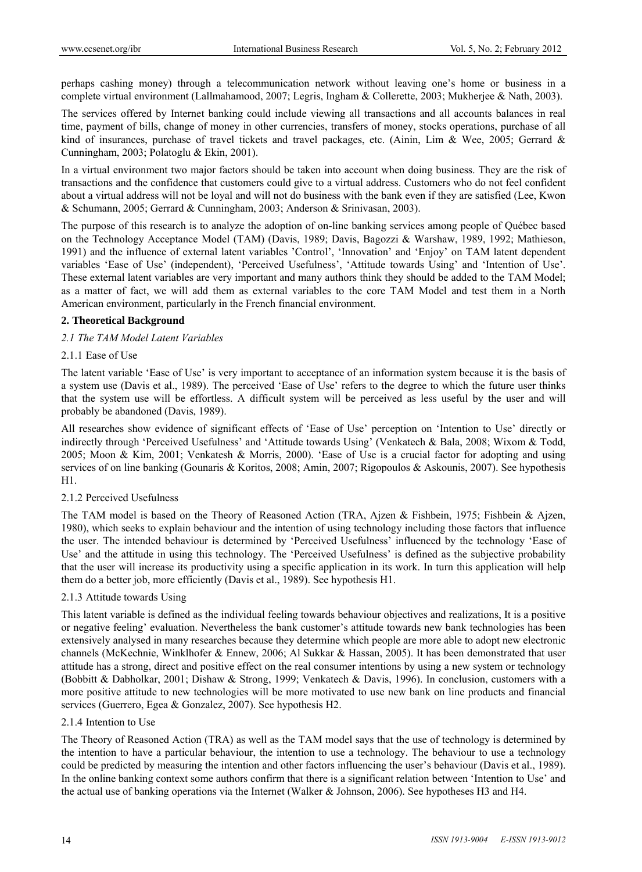perhaps cashing money) through a telecommunication network without leaving one's home or business in a complete virtual environment (Lallmahamood, 2007; Legris, Ingham & Collerette, 2003; Mukherjee & Nath, 2003).

The services offered by Internet banking could include viewing all transactions and all accounts balances in real time, payment of bills, change of money in other currencies, transfers of money, stocks operations, purchase of all kind of insurances, purchase of travel tickets and travel packages, etc. (Ainin, Lim & Wee, 2005; Gerrard & Cunningham, 2003; Polatoglu & Ekin, 2001).

In a virtual environment two major factors should be taken into account when doing business. They are the risk of transactions and the confidence that customers could give to a virtual address. Customers who do not feel confident about a virtual address will not be loyal and will not do business with the bank even if they are satisfied (Lee, Kwon & Schumann, 2005; Gerrard & Cunningham, 2003; Anderson & Srinivasan, 2003).

The purpose of this research is to analyze the adoption of on-line banking services among people of Québec based on the Technology Acceptance Model (TAM) (Davis, 1989; Davis, Bagozzi & Warshaw, 1989, 1992; Mathieson, 1991) and the influence of external latent variables 'Control', 'Innovation' and 'Enjoy' on TAM latent dependent variables 'Ease of Use' (independent), 'Perceived Usefulness', 'Attitude towards Using' and 'Intention of Use'. These external latent variables are very important and many authors think they should be added to the TAM Model; as a matter of fact, we will add them as external variables to the core TAM Model and test them in a North American environment, particularly in the French financial environment.

#### **2. Theoretical Background**

#### *2.1 The TAM Model Latent Variables*

#### 2.1.1 Ease of Use

The latent variable 'Ease of Use' is very important to acceptance of an information system because it is the basis of a system use (Davis et al., 1989). The perceived 'Ease of Use' refers to the degree to which the future user thinks that the system use will be effortless. A difficult system will be perceived as less useful by the user and will probably be abandoned (Davis, 1989).

All researches show evidence of significant effects of 'Ease of Use' perception on 'Intention to Use' directly or indirectly through 'Perceived Usefulness' and 'Attitude towards Using' (Venkatech & Bala, 2008; Wixom & Todd, 2005; Moon & Kim, 2001; Venkatesh & Morris, 2000). 'Ease of Use is a crucial factor for adopting and using services of on line banking (Gounaris & Koritos, 2008; Amin, 2007; Rigopoulos & Askounis, 2007). See hypothesis H1.

#### 2.1.2 Perceived Usefulness

The TAM model is based on the Theory of Reasoned Action (TRA, Ajzen & Fishbein, 1975; Fishbein & Ajzen, 1980), which seeks to explain behaviour and the intention of using technology including those factors that influence the user. The intended behaviour is determined by 'Perceived Usefulness' influenced by the technology 'Ease of Use' and the attitude in using this technology. The 'Perceived Usefulness' is defined as the subjective probability that the user will increase its productivity using a specific application in its work. In turn this application will help them do a better job, more efficiently (Davis et al., 1989). See hypothesis H1.

#### 2.1.3 Attitude towards Using

This latent variable is defined as the individual feeling towards behaviour objectives and realizations, It is a positive or negative feeling' evaluation. Nevertheless the bank customer's attitude towards new bank technologies has been extensively analysed in many researches because they determine which people are more able to adopt new electronic channels (McKechnie, Winklhofer & Ennew, 2006; Al Sukkar & Hassan, 2005). It has been demonstrated that user attitude has a strong, direct and positive effect on the real consumer intentions by using a new system or technology (Bobbitt & Dabholkar, 2001; Dishaw & Strong, 1999; Venkatech & Davis, 1996). In conclusion, customers with a more positive attitude to new technologies will be more motivated to use new bank on line products and financial services (Guerrero, Egea & Gonzalez, 2007). See hypothesis H2.

#### 2.1.4 Intention to Use

The Theory of Reasoned Action (TRA) as well as the TAM model says that the use of technology is determined by the intention to have a particular behaviour, the intention to use a technology. The behaviour to use a technology could be predicted by measuring the intention and other factors influencing the user's behaviour (Davis et al., 1989). In the online banking context some authors confirm that there is a significant relation between 'Intention to Use' and the actual use of banking operations via the Internet (Walker & Johnson, 2006). See hypotheses H3 and H4.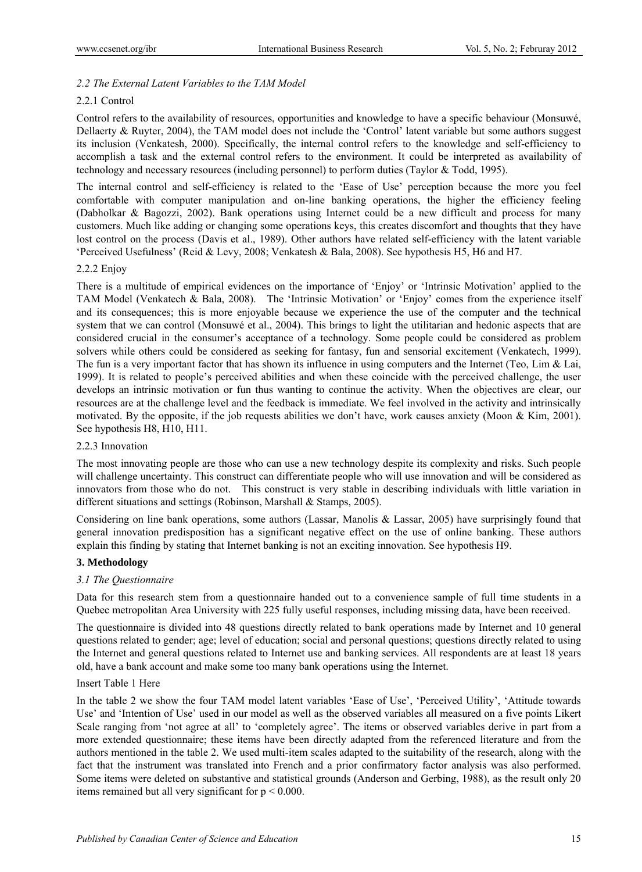#### *2.2 The External Latent Variables to the TAM Model*

#### 2.2.1 Control

Control refers to the availability of resources, opportunities and knowledge to have a specific behaviour (Monsuwé, Dellaerty & Ruyter, 2004), the TAM model does not include the 'Control' latent variable but some authors suggest its inclusion (Venkatesh, 2000). Specifically, the internal control refers to the knowledge and self-efficiency to accomplish a task and the external control refers to the environment. It could be interpreted as availability of technology and necessary resources (including personnel) to perform duties (Taylor & Todd, 1995).

The internal control and self-efficiency is related to the 'Ease of Use' perception because the more you feel comfortable with computer manipulation and on-line banking operations, the higher the efficiency feeling (Dabholkar & Bagozzi, 2002). Bank operations using Internet could be a new difficult and process for many customers. Much like adding or changing some operations keys, this creates discomfort and thoughts that they have lost control on the process (Davis et al., 1989). Other authors have related self-efficiency with the latent variable 'Perceived Usefulness' (Reid & Levy, 2008; Venkatesh & Bala, 2008). See hypothesis H5, H6 and H7.

#### 2.2.2 Enjoy

There is a multitude of empirical evidences on the importance of 'Enjoy' or 'Intrinsic Motivation' applied to the TAM Model (Venkatech & Bala, 2008). The 'Intrinsic Motivation' or 'Enjoy' comes from the experience itself and its consequences; this is more enjoyable because we experience the use of the computer and the technical system that we can control (Monsuwé et al., 2004). This brings to light the utilitarian and hedonic aspects that are considered crucial in the consumer's acceptance of a technology. Some people could be considered as problem solvers while others could be considered as seeking for fantasy, fun and sensorial excitement (Venkatech, 1999). The fun is a very important factor that has shown its influence in using computers and the Internet (Teo, Lim & Lai, 1999). It is related to people's perceived abilities and when these coincide with the perceived challenge, the user develops an intrinsic motivation or fun thus wanting to continue the activity. When the objectives are clear, our resources are at the challenge level and the feedback is immediate. We feel involved in the activity and intrinsically motivated. By the opposite, if the job requests abilities we don't have, work causes anxiety (Moon & Kim, 2001). See hypothesis H8, H10, H11.

#### 2.2.3 Innovation

The most innovating people are those who can use a new technology despite its complexity and risks. Such people will challenge uncertainty. This construct can differentiate people who will use innovation and will be considered as innovators from those who do not. This construct is very stable in describing individuals with little variation in different situations and settings (Robinson, Marshall & Stamps, 2005).

Considering on line bank operations, some authors (Lassar, Manolis & Lassar, 2005) have surprisingly found that general innovation predisposition has a significant negative effect on the use of online banking. These authors explain this finding by stating that Internet banking is not an exciting innovation. See hypothesis H9.

#### **3. Methodology**

#### *3.1 The Questionnaire*

Data for this research stem from a questionnaire handed out to a convenience sample of full time students in a Quebec metropolitan Area University with 225 fully useful responses, including missing data, have been received.

The questionnaire is divided into 48 questions directly related to bank operations made by Internet and 10 general questions related to gender; age; level of education; social and personal questions; questions directly related to using the Internet and general questions related to Internet use and banking services. All respondents are at least 18 years old, have a bank account and make some too many bank operations using the Internet.

#### Insert Table 1 Here

In the table 2 we show the four TAM model latent variables 'Ease of Use', 'Perceived Utility', 'Attitude towards Use' and 'Intention of Use' used in our model as well as the observed variables all measured on a five points Likert Scale ranging from 'not agree at all' to 'completely agree'. The items or observed variables derive in part from a more extended questionnaire; these items have been directly adapted from the referenced literature and from the authors mentioned in the table 2. We used multi-item scales adapted to the suitability of the research, along with the fact that the instrument was translated into French and a prior confirmatory factor analysis was also performed. Some items were deleted on substantive and statistical grounds (Anderson and Gerbing, 1988), as the result only 20 items remained but all very significant for p < 0.000.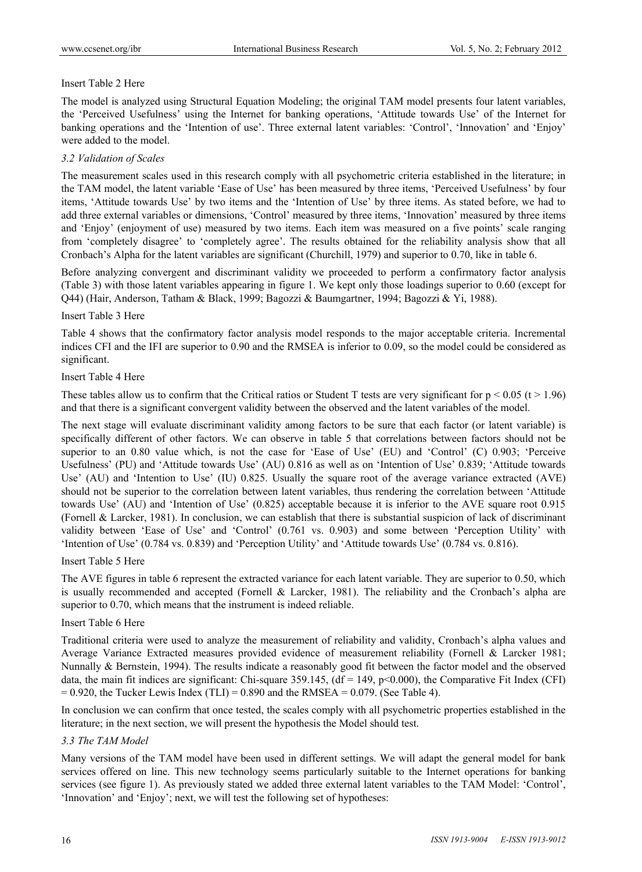#### Insert Table 2 Here

The model is analyzed using Structural Equation Modeling; the original TAM model presents four latent variables, the 'Perceived Usefulness' using the Internet for banking operations, 'Attitude towards Use' of the Internet for banking operations and the 'Intention of use'. Three external latent variables: 'Control', 'Innovation' and 'Enjoy' were added to the model.

#### *3.2 Validation of Scales*

The measurement scales used in this research comply with all psychometric criteria established in the literature; in the TAM model, the latent variable 'Ease of Use' has been measured by three items, 'Perceived Usefulness' by four items, 'Attitude towards Use' by two items and the 'Intention of Use' by three items. As stated before, we had to add three external variables or dimensions, 'Control' measured by three items, 'Innovation' measured by three items and 'Enjoy' (enjoyment of use) measured by two items. Each item was measured on a five points' scale ranging from 'completely disagree' to 'completely agree'. The results obtained for the reliability analysis show that all Cronbach's Alpha for the latent variables are significant (Churchill, 1979) and superior to 0.70, like in table 6.

Before analyzing convergent and discriminant validity we proceeded to perform a confirmatory factor analysis (Table 3) with those latent variables appearing in figure 1. We kept only those loadings superior to 0.60 (except for Q44) (Hair, Anderson, Tatham & Black, 1999; Bagozzi & Baumgartner, 1994; Bagozzi & Yi, 1988).

#### Insert Table 3 Here

Table 4 shows that the confirmatory factor analysis model responds to the major acceptable criteria. Incremental indices CFI and the IFI are superior to 0.90 and the RMSEA is inferior to 0.09, so the model could be considered as significant.

#### Insert Table 4 Here

These tables allow us to confirm that the Critical ratios or Student T tests are very significant for  $p < 0.05$  (t > 1.96) and that there is a significant convergent validity between the observed and the latent variables of the model.

The next stage will evaluate discriminant validity among factors to be sure that each factor (or latent variable) is specifically different of other factors. We can observe in table 5 that correlations between factors should not be superior to an 0.80 value which, is not the case for 'Ease of Use' (EU) and 'Control' (C) 0.903; 'Perceive Usefulness' (PU) and 'Attitude towards Use' (AU) 0.816 as well as on 'Intention of Use' 0.839; 'Attitude towards Use' (AU) and 'Intention to Use' (IU) 0.825. Usually the square root of the average variance extracted (AVE) should not be superior to the correlation between latent variables, thus rendering the correlation between 'Attitude towards Use' (AU) and 'Intention of Use' (0.825) acceptable because it is inferior to the AVE square root 0.915 (Fornell & Larcker, 1981). In conclusion, we can establish that there is substantial suspicion of lack of discriminant validity between 'Ease of Use' and 'Control' (0.761 vs. 0.903) and some between 'Perception Utility' with 'Intention of Use' (0.784 vs. 0.839) and 'Perception Utility' and 'Attitude towards Use' (0.784 vs. 0.816).

#### Insert Table 5 Here

The AVE figures in table 6 represent the extracted variance for each latent variable. They are superior to 0.50, which is usually recommended and accepted (Fornell & Larcker, 1981). The reliability and the Cronbach's alpha are superior to 0.70, which means that the instrument is indeed reliable.

#### Insert Table 6 Here

Traditional criteria were used to analyze the measurement of reliability and validity, Cronbach's alpha values and Average Variance Extracted measures provided evidence of measurement reliability (Fornell & Larcker 1981; Nunnally & Bernstein, 1994). The results indicate a reasonably good fit between the factor model and the observed data, the main fit indices are significant: Chi-square 359.145,  $(df = 149, p<0.000)$ , the Comparative Fit Index (CFI)  $= 0.920$ , the Tucker Lewis Index (TLI) = 0.890 and the RMSEA = 0.079. (See Table 4).

In conclusion we can confirm that once tested, the scales comply with all psychometric properties established in the literature; in the next section, we will present the hypothesis the Model should test.

#### *3.3 The TAM Model*

Many versions of the TAM model have been used in different settings. We will adapt the general model for bank services offered on line. This new technology seems particularly suitable to the Internet operations for banking services (see figure 1). As previously stated we added three external latent variables to the TAM Model: 'Control', 'Innovation' and 'Enjoy'; next, we will test the following set of hypotheses: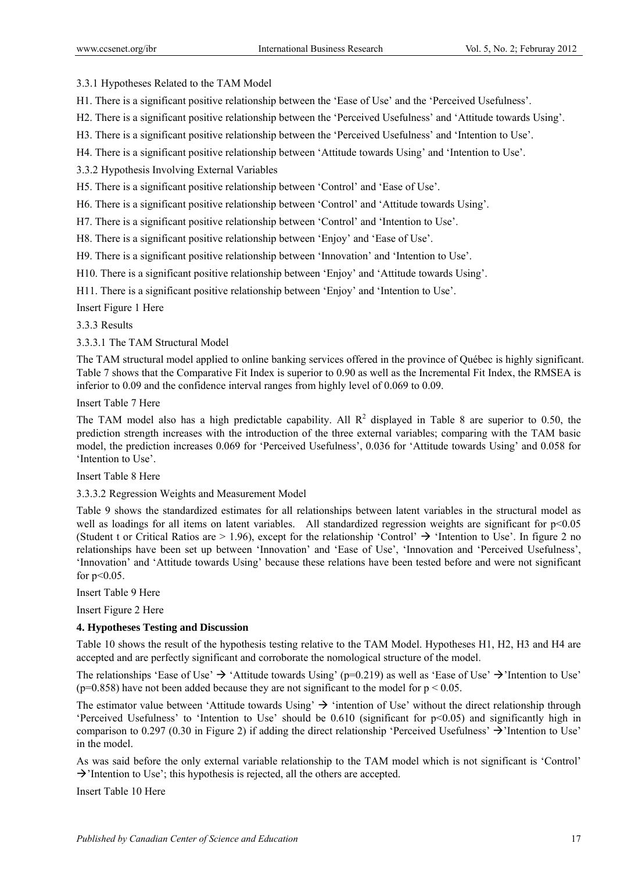3.3.1 Hypotheses Related to the TAM Model

H1. There is a significant positive relationship between the 'Ease of Use' and the 'Perceived Usefulness'.

H2. There is a significant positive relationship between the 'Perceived Usefulness' and 'Attitude towards Using'.

H3. There is a significant positive relationship between the 'Perceived Usefulness' and 'Intention to Use'.

H4. There is a significant positive relationship between 'Attitude towards Using' and 'Intention to Use'.

3.3.2 Hypothesis Involving External Variables

H5. There is a significant positive relationship between 'Control' and 'Ease of Use'.

H6. There is a significant positive relationship between 'Control' and 'Attitude towards Using'.

H7. There is a significant positive relationship between 'Control' and 'Intention to Use'.

H8. There is a significant positive relationship between 'Enjoy' and 'Ease of Use'.

H9. There is a significant positive relationship between 'Innovation' and 'Intention to Use'.

H10. There is a significant positive relationship between 'Enjoy' and 'Attitude towards Using'.

H11. There is a significant positive relationship between 'Enjoy' and 'Intention to Use'.

Insert Figure 1 Here

3.3.3 Results

#### 3.3.3.1 The TAM Structural Model

The TAM structural model applied to online banking services offered in the province of Québec is highly significant. Table 7 shows that the Comparative Fit Index is superior to 0.90 as well as the Incremental Fit Index, the RMSEA is inferior to 0.09 and the confidence interval ranges from highly level of 0.069 to 0.09.

Insert Table 7 Here

The TAM model also has a high predictable capability. All  $R^2$  displayed in Table 8 are superior to 0.50, the prediction strength increases with the introduction of the three external variables; comparing with the TAM basic model, the prediction increases 0.069 for 'Perceived Usefulness', 0.036 for 'Attitude towards Using' and 0.058 for 'Intention to Use'.

Insert Table 8 Here

3.3.3.2 Regression Weights and Measurement Model

Table 9 shows the standardized estimates for all relationships between latent variables in the structural model as well as loadings for all items on latent variables. All standardized regression weights are significant for p<0.05 (Student t or Critical Ratios are  $> 1.96$ ), except for the relationship 'Control'  $\rightarrow$  'Intention to Use'. In figure 2 no relationships have been set up between 'Innovation' and 'Ease of Use', 'Innovation and 'Perceived Usefulness', 'Innovation' and 'Attitude towards Using' because these relations have been tested before and were not significant for  $p<0.05$ .

Insert Table 9 Here

Insert Figure 2 Here

#### **4. Hypotheses Testing and Discussion**

Table 10 shows the result of the hypothesis testing relative to the TAM Model. Hypotheses H1, H2, H3 and H4 are accepted and are perfectly significant and corroborate the nomological structure of the model.

The relationships 'Ease of Use'  $\rightarrow$  'Attitude towards Using' (p=0.219) as well as 'Ease of Use'  $\rightarrow$  'Intention to Use' ( $p=0.858$ ) have not been added because they are not significant to the model for  $p < 0.05$ .

The estimator value between 'Attitude towards Using'  $\rightarrow$  'intention of Use' without the direct relationship through 'Perceived Usefulness' to 'Intention to Use' should be 0.610 (significant for p<0.05) and significantly high in comparison to 0.297 (0.30 in Figure 2) if adding the direct relationship 'Perceived Usefulness'  $\rightarrow$ 'Intention to Use' in the model.

As was said before the only external variable relationship to the TAM model which is not significant is 'Control'  $\rightarrow$ 'Intention to Use'; this hypothesis is rejected, all the others are accepted.

Insert Table 10 Here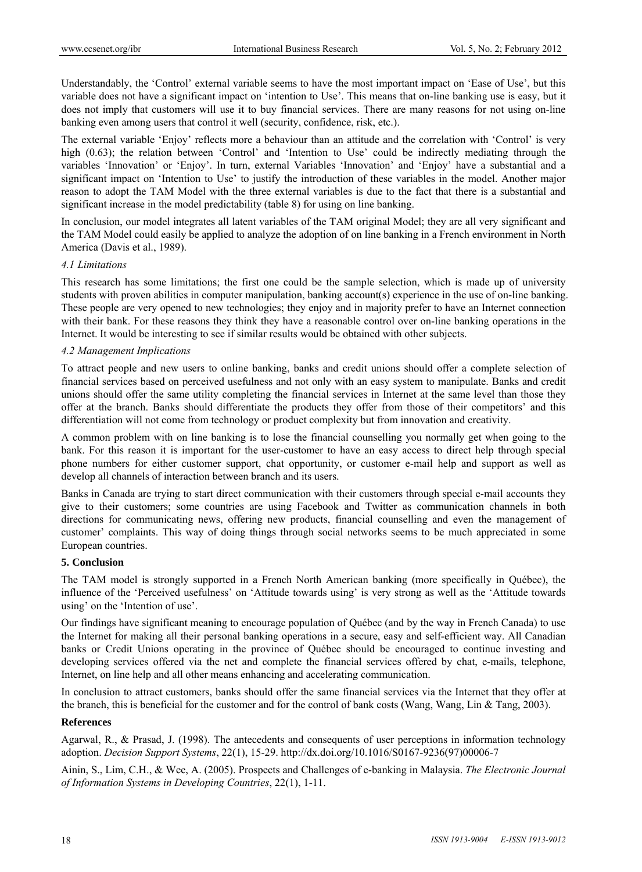Understandably, the 'Control' external variable seems to have the most important impact on 'Ease of Use', but this variable does not have a significant impact on 'intention to Use'. This means that on-line banking use is easy, but it does not imply that customers will use it to buy financial services. There are many reasons for not using on-line banking even among users that control it well (security, confidence, risk, etc.).

The external variable 'Enjoy' reflects more a behaviour than an attitude and the correlation with 'Control' is very high (0.63); the relation between 'Control' and 'Intention to Use' could be indirectly mediating through the variables 'Innovation' or 'Enjoy'. In turn, external Variables 'Innovation' and 'Enjoy' have a substantial and a significant impact on 'Intention to Use' to justify the introduction of these variables in the model. Another major reason to adopt the TAM Model with the three external variables is due to the fact that there is a substantial and significant increase in the model predictability (table 8) for using on line banking.

In conclusion, our model integrates all latent variables of the TAM original Model; they are all very significant and the TAM Model could easily be applied to analyze the adoption of on line banking in a French environment in North America (Davis et al., 1989).

#### *4.1 Limitations*

This research has some limitations; the first one could be the sample selection, which is made up of university students with proven abilities in computer manipulation, banking account(s) experience in the use of on-line banking. These people are very opened to new technologies; they enjoy and in majority prefer to have an Internet connection with their bank. For these reasons they think they have a reasonable control over on-line banking operations in the Internet. It would be interesting to see if similar results would be obtained with other subjects.

#### *4.2 Management Implications*

To attract people and new users to online banking, banks and credit unions should offer a complete selection of financial services based on perceived usefulness and not only with an easy system to manipulate. Banks and credit unions should offer the same utility completing the financial services in Internet at the same level than those they offer at the branch. Banks should differentiate the products they offer from those of their competitors' and this differentiation will not come from technology or product complexity but from innovation and creativity.

A common problem with on line banking is to lose the financial counselling you normally get when going to the bank. For this reason it is important for the user-customer to have an easy access to direct help through special phone numbers for either customer support, chat opportunity, or customer e-mail help and support as well as develop all channels of interaction between branch and its users.

Banks in Canada are trying to start direct communication with their customers through special e-mail accounts they give to their customers; some countries are using Facebook and Twitter as communication channels in both directions for communicating news, offering new products, financial counselling and even the management of customer' complaints. This way of doing things through social networks seems to be much appreciated in some European countries.

#### **5. Conclusion**

The TAM model is strongly supported in a French North American banking (more specifically in Québec), the influence of the 'Perceived usefulness' on 'Attitude towards using' is very strong as well as the 'Attitude towards using' on the 'Intention of use'.

Our findings have significant meaning to encourage population of Québec (and by the way in French Canada) to use the Internet for making all their personal banking operations in a secure, easy and self-efficient way. All Canadian banks or Credit Unions operating in the province of Québec should be encouraged to continue investing and developing services offered via the net and complete the financial services offered by chat, e-mails, telephone, Internet, on line help and all other means enhancing and accelerating communication.

In conclusion to attract customers, banks should offer the same financial services via the Internet that they offer at the branch, this is beneficial for the customer and for the control of bank costs (Wang, Wang, Lin & Tang, 2003).

#### **References**

Agarwal, R., & Prasad, J. (1998). The antecedents and consequents of user perceptions in information technology adoption. *Decision Support Systems*, 22(1), 15-29. http://dx.doi.org/10.1016/S0167-9236(97)00006-7

Ainin, S., Lim, C.H., & Wee, A. (2005). Prospects and Challenges of e-banking in Malaysia. *The Electronic Journal of Information Systems in Developing Countries*, 22(1), 1-11.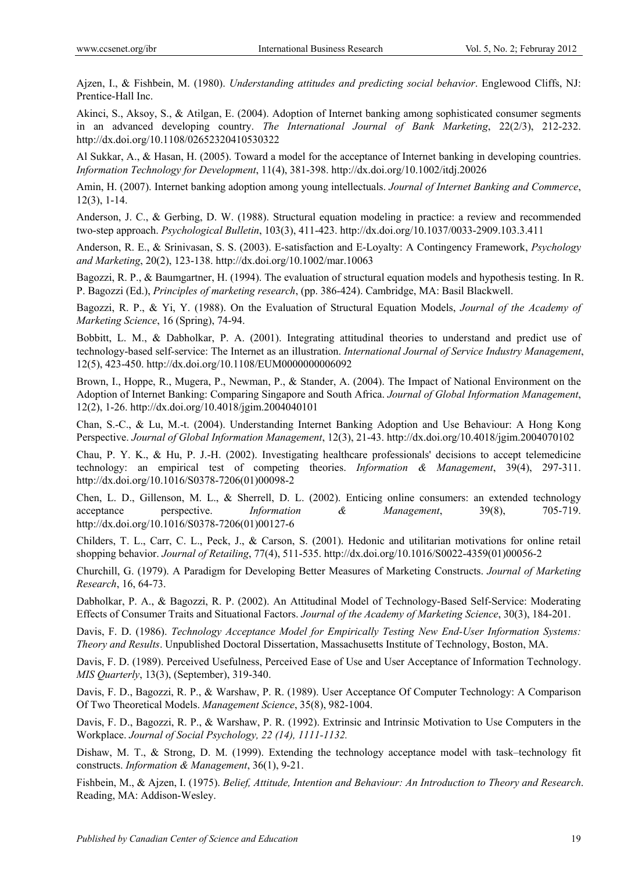Ajzen, I., & Fishbein, M. (1980). *Understanding attitudes and predicting social behavior*. Englewood Cliffs, NJ: Prentice-Hall Inc.

Akinci, S., Aksoy, S., & Atilgan, E. (2004). Adoption of Internet banking among sophisticated consumer segments in an advanced developing country. *The International Journal of Bank Marketing*, 22(2/3), 212-232. http://dx.doi.org/10.1108/02652320410530322

Al Sukkar, A., & Hasan, H. (2005). Toward a model for the acceptance of Internet banking in developing countries. *Information Technology for Development*, 11(4), 381-398. http://dx.doi.org/10.1002/itdj.20026

Amin, H. (2007). Internet banking adoption among young intellectuals. *Journal of Internet Banking and Commerce*, 12(3), 1-14.

Anderson, J. C., & Gerbing, D. W. (1988). Structural equation modeling in practice: a review and recommended two-step approach. *Psychological Bulletin*, 103(3), 411-423. http://dx.doi.org/10.1037/0033-2909.103.3.411

Anderson, R. E., & Srinivasan, S. S. (2003). E-satisfaction and E-Loyalty: A Contingency Framework, *Psychology and Marketing*, 20(2), 123-138. http://dx.doi.org/10.1002/mar.10063

Bagozzi, R. P., & Baumgartner, H. (1994). The evaluation of structural equation models and hypothesis testing. In R. P. Bagozzi (Ed.), *Principles of marketing research*, (pp. 386-424). Cambridge, MA: Basil Blackwell.

Bagozzi, R. P., & Yi, Y. (1988). On the Evaluation of Structural Equation Models, *Journal of the Academy of Marketing Science*, 16 (Spring), 74-94.

Bobbitt, L. M., & Dabholkar, P. A. (2001). Integrating attitudinal theories to understand and predict use of technology-based self-service: The Internet as an illustration. *International Journal of Service Industry Management*, 12(5), 423-450. http://dx.doi.org/10.1108/EUM0000000006092

Brown, I., Hoppe, R., Mugera, P., Newman, P., & Stander, A. (2004). The Impact of National Environment on the Adoption of Internet Banking: Comparing Singapore and South Africa. *Journal of Global Information Management*, 12(2), 1-26. http://dx.doi.org/10.4018/jgim.2004040101

Chan, S.-C., & Lu, M.-t. (2004). Understanding Internet Banking Adoption and Use Behaviour: A Hong Kong Perspective. *Journal of Global Information Management*, 12(3), 21-43. http://dx.doi.org/10.4018/jgim.2004070102

Chau, P. Y. K., & Hu, P. J.-H. (2002). Investigating healthcare professionals' decisions to accept telemedicine technology: an empirical test of competing theories. *Information & Management*, 39(4), 297-311. http://dx.doi.org/10.1016/S0378-7206(01)00098-2

Chen, L. D., Gillenson, M. L., & Sherrell, D. L. (2002). Enticing online consumers: an extended technology acceptance perspective. *Information & Management*, 39(8), 705-719. http://dx.doi.org/10.1016/S0378-7206(01)00127-6

Childers, T. L., Carr, C. L., Peck, J., & Carson, S. (2001). Hedonic and utilitarian motivations for online retail shopping behavior. *Journal of Retailing*, 77(4), 511-535. http://dx.doi.org/10.1016/S0022-4359(01)00056-2

Churchill, G. (1979). A Paradigm for Developing Better Measures of Marketing Constructs. *Journal of Marketing Research*, 16, 64-73.

Dabholkar, P. A., & Bagozzi, R. P. (2002). An Attitudinal Model of Technology-Based Self-Service: Moderating Effects of Consumer Traits and Situational Factors. *Journal of the Academy of Marketing Science*, 30(3), 184-201.

Davis, F. D. (1986). *Technology Acceptance Model for Empirically Testing New End-User Information Systems: Theory and Results*. Unpublished Doctoral Dissertation, Massachusetts Institute of Technology, Boston, MA.

Davis, F. D. (1989). Perceived Usefulness, Perceived Ease of Use and User Acceptance of Information Technology. *MIS Quarterly*, 13(3), (September), 319-340.

Davis, F. D., Bagozzi, R. P., & Warshaw, P. R. (1989). User Acceptance Of Computer Technology: A Comparison Of Two Theoretical Models. *Management Science*, 35(8), 982-1004.

Davis, F. D., Bagozzi, R. P., & Warshaw, P. R. (1992). Extrinsic and Intrinsic Motivation to Use Computers in the Workplace. *Journal of Social Psychology, 22 (14), 1111-1132.* 

Dishaw, M. T., & Strong, D. M. (1999). Extending the technology acceptance model with task–technology fit constructs. *Information & Management*, 36(1), 9-21.

Fishbein, M., & Ajzen, I. (1975). *Belief, Attitude, Intention and Behaviour: An Introduction to Theory and Research*. Reading, MA: Addison-Wesley.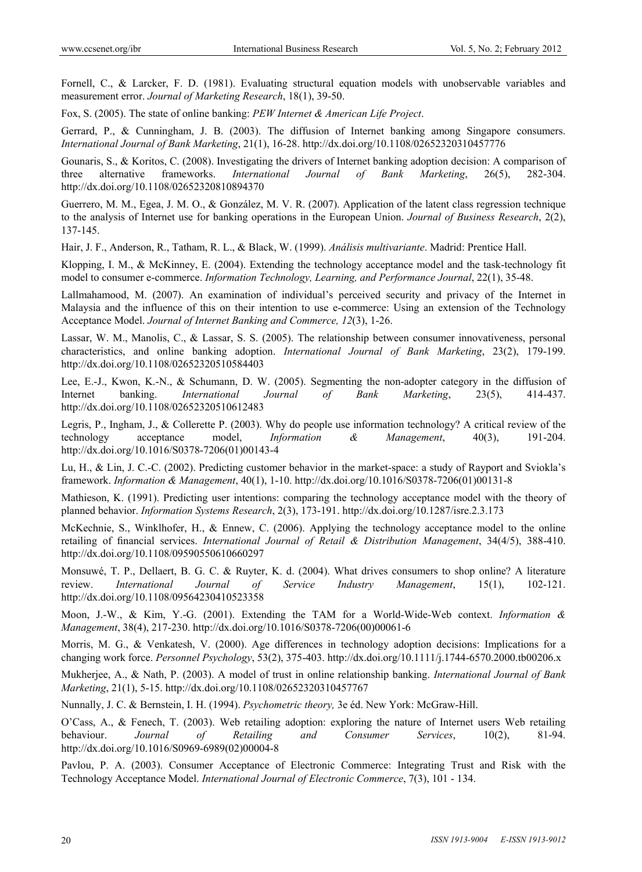Fornell, C., & Larcker, F. D. (1981). Evaluating structural equation models with unobservable variables and measurement error. *Journal of Marketing Research*, 18(1), 39-50.

Fox, S. (2005). The state of online banking: *PEW Internet & American Life Project*.

Gerrard, P., & Cunningham, J. B. (2003). The diffusion of Internet banking among Singapore consumers. *International Journal of Bank Marketing*, 21(1), 16-28. http://dx.doi.org/10.1108/02652320310457776

Gounaris, S., & Koritos, C. (2008). Investigating the drivers of Internet banking adoption decision: A comparison of three alternative frameworks. *International Journal of Bank Marketing*, 26(5), 282-304. http://dx.doi.org/10.1108/02652320810894370

Guerrero, M. M., Egea, J. M. O., & González, M. V. R. (2007). Application of the latent class regression technique to the analysis of Internet use for banking operations in the European Union. *Journal of Business Research*, 2(2), 137-145.

Hair, J. F., Anderson, R., Tatham, R. L., & Black, W. (1999). *Análisis multivariante*. Madrid: Prentice Hall.

Klopping, I. M., & McKinney, E. (2004). Extending the technology acceptance model and the task-technology fit model to consumer e-commerce. *Information Technology, Learning, and Performance Journal*, 22(1), 35-48.

Lallmahamood, M. (2007). An examination of individual's perceived security and privacy of the Internet in Malaysia and the influence of this on their intention to use e-commerce: Using an extension of the Technology Acceptance Model. *Journal of Internet Banking and Commerce, 12*(3), 1-26.

Lassar, W. M., Manolis, C., & Lassar, S. S. (2005). The relationship between consumer innovativeness, personal characteristics, and online banking adoption. *International Journal of Bank Marketing*, 23(2), 179-199. http://dx.doi.org/10.1108/02652320510584403

Lee, E.-J., Kwon, K.-N., & Schumann, D. W. (2005). Segmenting the non-adopter category in the diffusion of Internet banking. *International Journal of Bank Marketing*, 23(5), 414-437. http://dx.doi.org/10.1108/02652320510612483

Legris, P., Ingham, J., & Collerette P. (2003). Why do people use information technology? A critical review of the technology acceptance model, *Information & Management*, 40(3), 191-204. http://dx.doi.org/10.1016/S0378-7206(01)00143-4

Lu, H., & Lin, J. C.-C. (2002). Predicting customer behavior in the market-space: a study of Rayport and Sviokla's framework. *Information & Management*, 40(1), 1-10. http://dx.doi.org/10.1016/S0378-7206(01)00131-8

Mathieson, K. (1991). Predicting user intentions: comparing the technology acceptance model with the theory of planned behavior. *Information Systems Research*, 2(3), 173-191. http://dx.doi.org/10.1287/isre.2.3.173

McKechnie, S., Winklhofer, H., & Ennew, C. (2006). Applying the technology acceptance model to the online retailing of financial services. *International Journal of Retail & Distribution Management*, 34(4/5), 388-410. http://dx.doi.org/10.1108/09590550610660297

Monsuwé, T. P., Dellaert, B. G. C. & Ruyter, K. d. (2004). What drives consumers to shop online? A literature review. *International Journal of Service Industry Management*, 15(1), 102-121. http://dx.doi.org/10.1108/09564230410523358

Moon, J.-W., & Kim, Y.-G. (2001). Extending the TAM for a World-Wide-Web context. *Information & Management*, 38(4), 217-230. http://dx.doi.org/10.1016/S0378-7206(00)00061-6

Morris, M. G., & Venkatesh, V. (2000). Age differences in technology adoption decisions: Implications for a changing work force. *Personnel Psychology*, 53(2), 375-403. http://dx.doi.org/10.1111/j.1744-6570.2000.tb00206.x

Mukherjee, A., & Nath, P. (2003). A model of trust in online relationship banking. *International Journal of Bank Marketing*, 21(1), 5-15. http://dx.doi.org/10.1108/02652320310457767

Nunnally, J. C. & Bernstein, I. H. (1994). *Psychometric theory,* 3e éd. New York: McGraw-Hill.

O'Cass, A., & Fenech, T. (2003). Web retailing adoption: exploring the nature of Internet users Web retailing behaviour. *Journal of Retailing and Consumer Services*, 10(2), 81-94. http://dx.doi.org/10.1016/S0969-6989(02)00004-8

Pavlou, P. A. (2003). Consumer Acceptance of Electronic Commerce: Integrating Trust and Risk with the Technology Acceptance Model. *International Journal of Electronic Commerce*, 7(3), 101 - 134.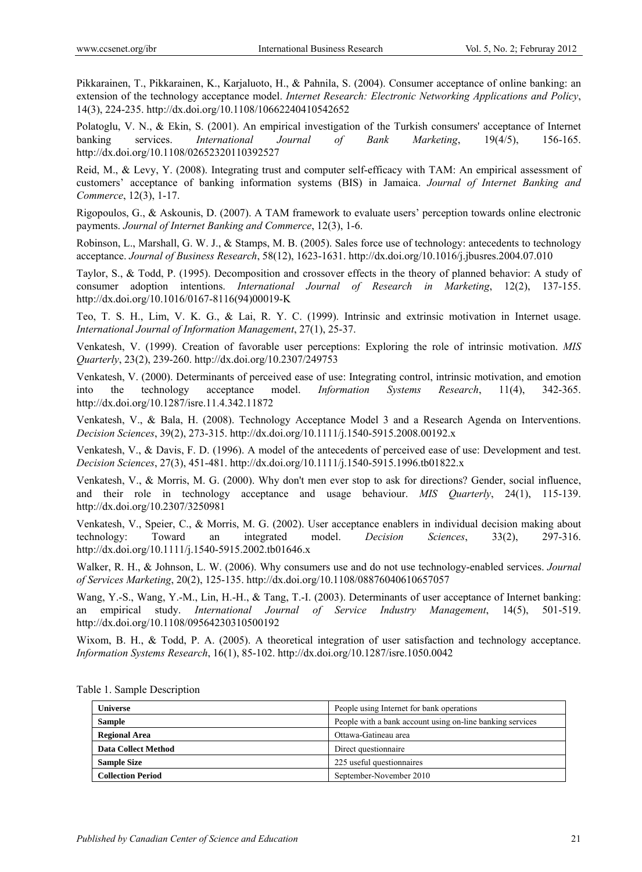Pikkarainen, T., Pikkarainen, K., Karjaluoto, H., & Pahnila, S. (2004). Consumer acceptance of online banking: an extension of the technology acceptance model. *Internet Research: Electronic Networking Applications and Policy*, 14(3), 224-235. http://dx.doi.org/10.1108/10662240410542652

Polatoglu, V. N., & Ekin, S. (2001). An empirical investigation of the Turkish consumers' acceptance of Internet banking services. *International Journal of Bank Marketing*, 19(4/5), 156-165. http://dx.doi.org/10.1108/02652320110392527

Reid, M., & Levy, Y. (2008). Integrating trust and computer self-efficacy with TAM: An empirical assessment of customers' acceptance of banking information systems (BIS) in Jamaica. *Journal of Internet Banking and Commerce*, 12(3), 1-17.

Rigopoulos, G., & Askounis, D. (2007). A TAM framework to evaluate users' perception towards online electronic payments. *Journal of Internet Banking and Commerce*, 12(3), 1-6.

Robinson, L., Marshall, G. W. J., & Stamps, M. B. (2005). Sales force use of technology: antecedents to technology acceptance. *Journal of Business Research*, 58(12), 1623-1631. http://dx.doi.org/10.1016/j.jbusres.2004.07.010

Taylor, S., & Todd, P. (1995). Decomposition and crossover effects in the theory of planned behavior: A study of consumer adoption intentions. *International Journal of Research in Marketing*, 12(2), 137-155. http://dx.doi.org/10.1016/0167-8116(94)00019-K

Teo, T. S. H., Lim, V. K. G., & Lai, R. Y. C. (1999). Intrinsic and extrinsic motivation in Internet usage. *International Journal of Information Management*, 27(1), 25-37.

Venkatesh, V. (1999). Creation of favorable user perceptions: Exploring the role of intrinsic motivation. *MIS Quarterly*, 23(2), 239-260. http://dx.doi.org/10.2307/249753

Venkatesh, V. (2000). Determinants of perceived ease of use: Integrating control, intrinsic motivation, and emotion into the technology acceptance model. *Information Systems Research*, 11(4), 342-365. http://dx.doi.org/10.1287/isre.11.4.342.11872

Venkatesh, V., & Bala, H. (2008). Technology Acceptance Model 3 and a Research Agenda on Interventions. *Decision Sciences*, 39(2), 273-315. http://dx.doi.org/10.1111/j.1540-5915.2008.00192.x

Venkatesh, V., & Davis, F. D. (1996). A model of the antecedents of perceived ease of use: Development and test. *Decision Sciences*, 27(3), 451-481. http://dx.doi.org/10.1111/j.1540-5915.1996.tb01822.x

Venkatesh, V., & Morris, M. G. (2000). Why don't men ever stop to ask for directions? Gender, social influence, and their role in technology acceptance and usage behaviour. *MIS Quarterly*, 24(1), 115-139. http://dx.doi.org/10.2307/3250981

Venkatesh, V., Speier, C., & Morris, M. G. (2002). User acceptance enablers in individual decision making about technology: Toward an integrated model. *Decision Sciences*, 33(2), 297-316. http://dx.doi.org/10.1111/j.1540-5915.2002.tb01646.x

Walker, R. H., & Johnson, L. W. (2006). Why consumers use and do not use technology-enabled services. *Journal of Services Marketing*, 20(2), 125-135. http://dx.doi.org/10.1108/08876040610657057

Wang, Y.-S., Wang, Y.-M., Lin, H.-H., & Tang, T.-I. (2003). Determinants of user acceptance of Internet banking: an empirical study. *International Journal of Service Industry Management*, 14(5), 501-519. http://dx.doi.org/10.1108/09564230310500192

Wixom, B. H., & Todd, P. A. (2005). A theoretical integration of user satisfaction and technology acceptance. *Information Systems Research*, 16(1), 85-102. http://dx.doi.org/10.1287/isre.1050.0042

| <b>Universe</b>            | People using Internet for bank operations                 |  |  |  |
|----------------------------|-----------------------------------------------------------|--|--|--|
| <b>Sample</b>              | People with a bank account using on-line banking services |  |  |  |
| <b>Regional Area</b>       | Ottawa-Gatineau area                                      |  |  |  |
| <b>Data Collect Method</b> | Direct questionnaire                                      |  |  |  |
| <b>Sample Size</b>         | 225 useful questionnaires                                 |  |  |  |
| <b>Collection Period</b>   | September-November 2010                                   |  |  |  |

Table 1. Sample Description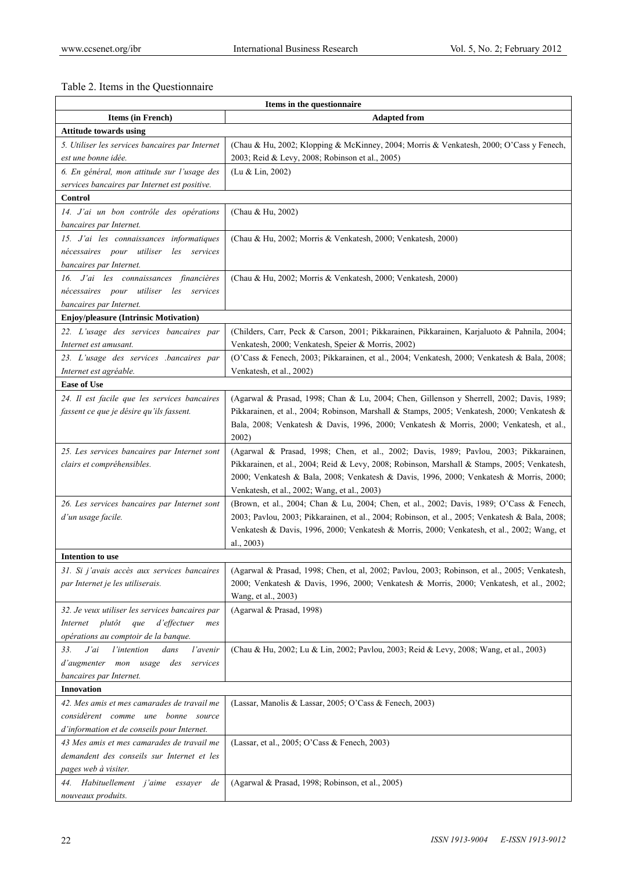## Table 2. Items in the Questionnaire

|                                                      | Items in the questionnaire                                                                                                                                                          |
|------------------------------------------------------|-------------------------------------------------------------------------------------------------------------------------------------------------------------------------------------|
| <b>Items (in French)</b>                             | <b>Adapted from</b>                                                                                                                                                                 |
| <b>Attitude towards using</b>                        |                                                                                                                                                                                     |
| 5. Utiliser les services bancaires par Internet      | (Chau & Hu, 2002; Klopping & McKinney, 2004; Morris & Venkatesh, 2000; O'Cass y Fenech,                                                                                             |
| est une bonne idée.                                  | 2003; Reid & Levy, 2008; Robinson et al., 2005)                                                                                                                                     |
| 6. En général, mon attitude sur l'usage des          | (Lu & Lin, 2002)                                                                                                                                                                    |
| services bancaires par Internet est positive.        |                                                                                                                                                                                     |
| <b>Control</b>                                       |                                                                                                                                                                                     |
| 14. J'ai un bon contrôle des opérations              | (Chau & Hu, 2002)                                                                                                                                                                   |
| bancaires par Internet.                              |                                                                                                                                                                                     |
| 15. J'ai les connaissances informatiques             | (Chau & Hu, 2002; Morris & Venkatesh, 2000; Venkatesh, 2000)                                                                                                                        |
| nécessaires pour utiliser les services               |                                                                                                                                                                                     |
| bancaires par Internet.                              |                                                                                                                                                                                     |
| 16. J'ai les connaissances financières               | (Chau & Hu, 2002; Morris & Venkatesh, 2000; Venkatesh, 2000)                                                                                                                        |
| nécessaires pour utiliser les services               |                                                                                                                                                                                     |
| bancaires par Internet.                              |                                                                                                                                                                                     |
| <b>Enjoy/pleasure (Intrinsic Motivation)</b>         |                                                                                                                                                                                     |
| 22. L'usage des services bancaires par               | (Childers, Carr, Peck & Carson, 2001; Pikkarainen, Pikkarainen, Karjaluoto & Pahnila, 2004;                                                                                         |
| Internet est amusant.                                | Venkatesh, 2000; Venkatesh, Speier & Morris, 2002)                                                                                                                                  |
| 23. L'usage des services .bancaires par              | (O'Cass & Fenech, 2003; Pikkarainen, et al., 2004; Venkatesh, 2000; Venkatesh & Bala, 2008;                                                                                         |
| Internet est agréable.                               | Venkatesh, et al., 2002)                                                                                                                                                            |
| <b>Ease of Use</b>                                   |                                                                                                                                                                                     |
| 24. Il est facile que les services bancaires         | (Agarwal & Prasad, 1998; Chan & Lu, 2004; Chen, Gillenson y Sherrell, 2002; Davis, 1989;                                                                                            |
| fassent ce que je désire qu'ils fassent.             | Pikkarainen, et al., 2004; Robinson, Marshall & Stamps, 2005; Venkatesh, 2000; Venkatesh &                                                                                          |
|                                                      | Bala, 2008; Venkatesh & Davis, 1996, 2000; Venkatesh & Morris, 2000; Venkatesh, et al.,                                                                                             |
|                                                      | 2002)                                                                                                                                                                               |
| 25. Les services bancaires par Internet sont         | (Agarwal & Prasad, 1998; Chen, et al., 2002; Davis, 1989; Pavlou, 2003; Pikkarainen,<br>Pikkarainen, et al., 2004; Reid & Levy, 2008; Robinson, Marshall & Stamps, 2005; Venkatesh, |
| clairs et compréhensibles.                           | 2000; Venkatesh & Bala, 2008; Venkatesh & Davis, 1996, 2000; Venkatesh & Morris, 2000;                                                                                              |
|                                                      | Venkatesh, et al., 2002; Wang, et al., 2003)                                                                                                                                        |
| 26. Les services bancaires par Internet sont         | (Brown, et al., 2004; Chan & Lu, 2004; Chen, et al., 2002; Davis, 1989; O'Cass & Fenech,                                                                                            |
| d'un usage facile.                                   | 2003; Pavlou, 2003; Pikkarainen, et al., 2004; Robinson, et al., 2005; Venkatesh & Bala, 2008;                                                                                      |
|                                                      | Venkatesh & Davis, 1996, 2000; Venkatesh & Morris, 2000; Venkatesh, et al., 2002; Wang, et                                                                                          |
|                                                      | al., 2003)                                                                                                                                                                          |
| <b>Intention to use</b>                              |                                                                                                                                                                                     |
| 31. Si j'avais accès aux services bancaires          | (Agarwal & Prasad, 1998; Chen, et al, 2002; Pavlou, 2003; Robinson, et al., 2005; Venkatesh,                                                                                        |
| par Internet je les utiliserais.                     | 2000; Venkatesh & Davis, 1996, 2000; Venkatesh & Morris, 2000; Venkatesh, et al., 2002;                                                                                             |
|                                                      | Wang, et al., 2003)                                                                                                                                                                 |
| 32. Je veux utiliser les services bancaires par      | (Agarwal & Prasad, 1998)                                                                                                                                                            |
| plutôt<br>d'effectuer<br>Internet<br>que<br>mes      |                                                                                                                                                                                     |
| opérations au comptoir de la banque.                 |                                                                                                                                                                                     |
| l'intention<br>33.<br>J'ai<br>l'avenir<br>dans       | (Chau & Hu, 2002; Lu & Lin, 2002; Pavlou, 2003; Reid & Levy, 2008; Wang, et al., 2003)                                                                                              |
| d'augmenter<br>mon usage<br>des<br>services          |                                                                                                                                                                                     |
| bancaires par Internet.                              |                                                                                                                                                                                     |
| <b>Innovation</b>                                    |                                                                                                                                                                                     |
| 42. Mes amis et mes camarades de travail me          | (Lassar, Manolis & Lassar, 2005; O'Cass & Fenech, 2003)                                                                                                                             |
| considèrent comme une bonne source                   |                                                                                                                                                                                     |
| d'information et de conseils pour Internet.          |                                                                                                                                                                                     |
| 43 Mes amis et mes camarades de travail me           | (Lassar, et al., 2005; O'Cass & Fenech, 2003)                                                                                                                                       |
| demandent des conseils sur Internet et les           |                                                                                                                                                                                     |
| pages web à visiter.                                 |                                                                                                                                                                                     |
| Habituellement <i>j'aime</i><br>essayer<br>44.<br>de | (Agarwal & Prasad, 1998; Robinson, et al., 2005)                                                                                                                                    |
| nouveaux produits.                                   |                                                                                                                                                                                     |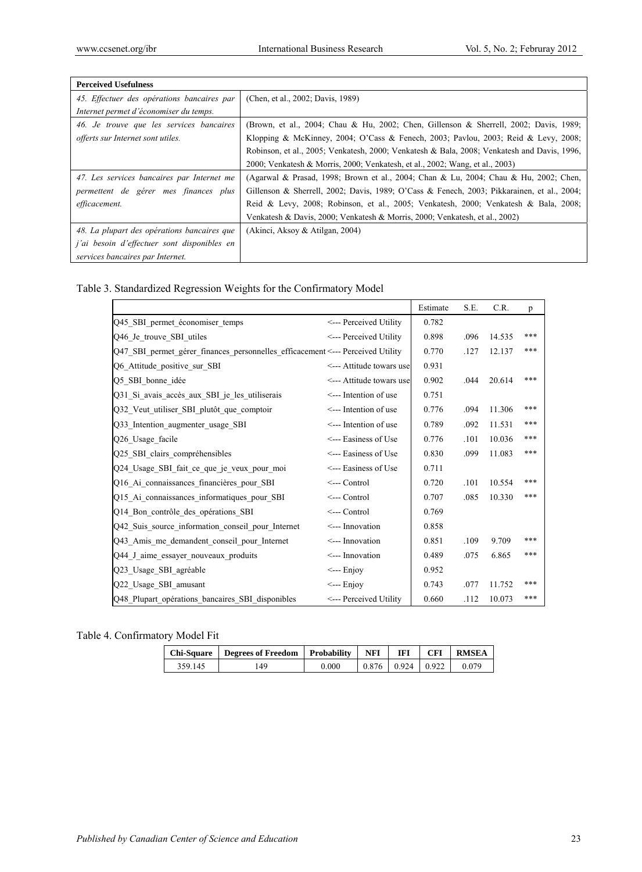| <b>Perceived Usefulness</b>                 |                                                                                             |
|---------------------------------------------|---------------------------------------------------------------------------------------------|
| 45. Effectuer des opérations bancaires par  | (Chen, et al., 2002; Davis, 1989)                                                           |
| Internet permet d'économiser du temps.      |                                                                                             |
| 46. Je trouve que les services bancaires    | (Brown, et al., 2004; Chau & Hu, 2002; Chen, Gillenson & Sherrell, 2002; Davis, 1989;       |
| offerts sur Internet sont utiles.           | Klopping & McKinney, 2004; O'Cass & Fenech, 2003; Pavlou, 2003; Reid & Levy, 2008;          |
|                                             | Robinson, et al., 2005; Venkatesh, 2000; Venkatesh & Bala, 2008; Venkatesh and Davis, 1996, |
|                                             | 2000; Venkatesh & Morris, 2000; Venkatesh, et al., 2002; Wang, et al., 2003)                |
| 47. Les services bancaires par Internet me  | (Agarwal & Prasad, 1998; Brown et al., 2004; Chan & Lu, 2004; Chau & Hu, 2002; Chen,        |
| permettent de gérer mes finances plus       | Gillenson & Sherrell, 2002; Davis, 1989; O'Cass & Fenech, 2003; Pikkarainen, et al., 2004;  |
| efficacement.                               | Reid & Levy, 2008; Robinson, et al., 2005; Venkatesh, 2000; Venkatesh & Bala, 2008;         |
|                                             | Venkatesh & Davis, 2000; Venkatesh & Morris, 2000; Venkatesh, et al., 2002)                 |
| 48. La plupart des opérations bancaires que | (Akinci, Aksoy & Atilgan, 2004)                                                             |
| j'ai besoin d'effectuer sont disponibles en |                                                                                             |
| services bancaires par Internet.            |                                                                                             |

Table 3. Standardized Regression Weights for the Confirmatory Model

|                                                                                |                                  | Estimate | S.E. | C.R.   | p   |
|--------------------------------------------------------------------------------|----------------------------------|----------|------|--------|-----|
| Q45 SBI permet économiser temps                                                | <--- Perceived Utility           | 0.782    |      |        |     |
| Q46 Je trouve SBI utiles                                                       | <--- Perceived Utility           | 0.898    | .096 | 14.535 | *** |
| Q47_SBI_permet_gérer_finances_personnelles_efficacement <--- Perceived Utility |                                  | 0.770    | .127 | 12.137 | *** |
| Q6 Attitude positive sur SBI                                                   | <--- Attitude towars use         | 0.931    |      |        |     |
| Q5 SBI bonne idée                                                              | <--- Attitude towars use         | 0.902    | .044 | 20.614 | *** |
| Q31 Si avais accès aux SBI je les utiliserais                                  | $\leq$ --- Intention of use      | 0.751    |      |        |     |
| Q32_Veut_utiliser_SBI_plutôt_que_comptoir                                      | <--- Intention of use            | 0.776    | .094 | 11.306 | *** |
| Q33_Intention_augmenter_usage_SBI                                              | $\leq$ --- Intention of use      | 0.789    | .092 | 11.531 | *** |
| Q26 Usage facile                                                               | $\leftarrow$ --- Easiness of Use | 0.776    | .101 | 10.036 | *** |
| Q25 SBI clairs compréhensibles                                                 | <--- Easiness of Use             | 0.830    | .099 | 11.083 | *** |
| Q24 Usage SBI fait ce que je veux pour moi                                     | $\leftarrow$ --- Easiness of Use | 0.711    |      |        |     |
| Q16 Ai connaissances financières pour SBI                                      | $\leftarrow$ -- Control          | 0.720    | .101 | 10.554 | *** |
| Q15 Ai connaissances informatiques pour SBI                                    | $\leftarrow$ -- Control          | 0.707    | .085 | 10.330 | *** |
| Q14_Bon_contrôle_des_opérations_SBI                                            | <--- Control                     | 0.769    |      |        |     |
| Q42 Suis source information conseil pour Internet                              | <--- Innovation                  | 0.858    |      |        |     |
| Q43 Amis me demandent conseil pour Internet                                    | <--- Innovation                  | 0.851    | .109 | 9.709  | *** |
| Q44 J aime essayer nouveaux produits                                           | <--- Innovation                  | 0.489    | .075 | 6.865  | *** |
| Q23 Usage SBI agréable                                                         | $\leftarrow$ --- Enjoy           | 0.952    |      |        |     |
| Q22 Usage SBI amusant                                                          | $\leftarrow$ --- Enjoy           | 0.743    | .077 | 11.752 | *** |
| Q48_Plupart_opérations_bancaires_SBI_disponibles                               | <--- Perceived Utility           | 0.660    | .112 | 10.073 | *** |

## Table 4. Confirmatory Model Fit

|         | Chi-Square   Degrees of Freedom   Probability |       | NFI | <b>IFI</b>              | CFI | <b>RMSEA</b> |
|---------|-----------------------------------------------|-------|-----|-------------------------|-----|--------------|
| 359.145 | .49                                           | 0.000 |     | $0.876$   0.924   0.922 |     | 0.079        |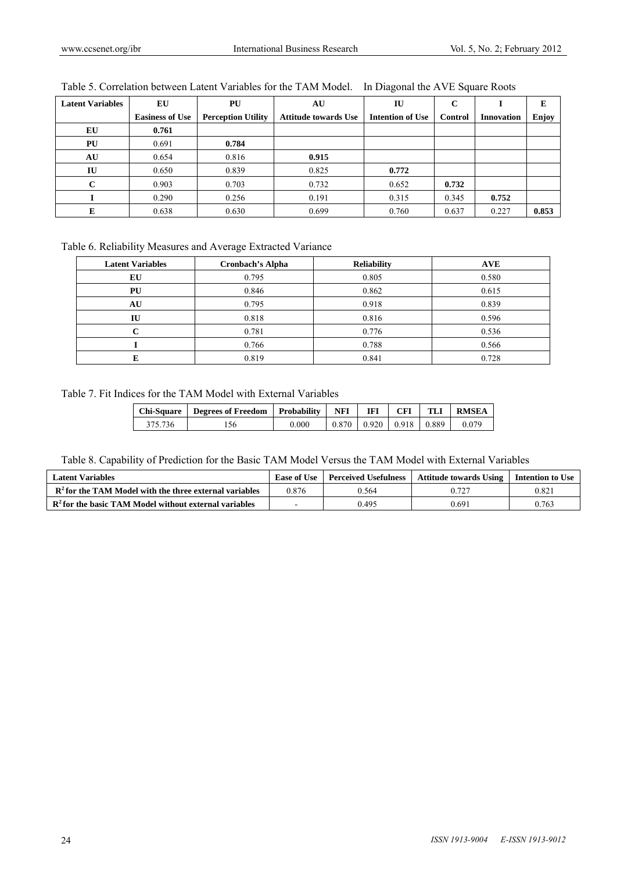| <b>Latent Variables</b> | EU                     | PU                        | AU                          | IU                      | C       |                   | E            |
|-------------------------|------------------------|---------------------------|-----------------------------|-------------------------|---------|-------------------|--------------|
|                         | <b>Easiness of Use</b> | <b>Perception Utility</b> | <b>Attitude towards Use</b> | <b>Intention of Use</b> | Control | <b>Innovation</b> | <b>Enjoy</b> |
| EU                      | 0.761                  |                           |                             |                         |         |                   |              |
| PU                      | 0.691                  | 0.784                     |                             |                         |         |                   |              |
| AU                      | 0.654                  | 0.816                     | 0.915                       |                         |         |                   |              |
| IU                      | 0.650                  | 0.839                     | 0.825                       | 0.772                   |         |                   |              |
| C                       | 0.903                  | 0.703                     | 0.732                       | 0.652                   | 0.732   |                   |              |
|                         | 0.290                  | 0.256                     | 0.191                       | 0.315                   | 0.345   | 0.752             |              |
| E                       | 0.638                  | 0.630                     | 0.699                       | 0.760                   | 0.637   | 0.227             | 0.853        |

### Table 5. Correlation between Latent Variables for the TAM Model. In Diagonal the AVE Square Roots

Table 6. Reliability Measures and Average Extracted Variance

| <b>Latent Variables</b> | <b>Cronbach's Alpha</b> | <b>Reliability</b> | <b>AVE</b> |
|-------------------------|-------------------------|--------------------|------------|
| EU                      | 0.795                   | 0.805              | 0.580      |
| PU                      | 0.846                   | 0.862              | 0.615      |
| AU                      | 0.795                   | 0.918              | 0.839      |
| IU                      | 0.818                   | 0.816              | 0.596      |
|                         | 0.781                   | 0.776              | 0.536      |
|                         | 0.766                   | 0.788              | 0.566      |
|                         | 0.819                   | 0.841              | 0.728      |

Table 7. Fit Indices for the TAM Model with External Variables

|         | Chi-Square   Degrees of Freedom   Probability   NFI |       | IFI                       | CFI. | TLI | RMSEA |
|---------|-----------------------------------------------------|-------|---------------------------|------|-----|-------|
| 375.736 | 56                                                  | 0.000 | $0.870$ 0.920 0.918 0.889 |      |     | 0.079 |

Table 8. Capability of Prediction for the Basic TAM Model Versus the TAM Model with External Variables

| Latent Variables                                         | Ease of Use | <b>Perceived Usefulness</b> | <b>Attitude towards Using</b> | Intention to Use |
|----------------------------------------------------------|-------------|-----------------------------|-------------------------------|------------------|
| $R2$ for the TAM Model with the three external variables | 0.876       | 0.564                       | 0.727                         | 0.821            |
| $R2$ for the basic TAM Model without external variables  |             | 0.495                       | 0.691                         | 0.763            |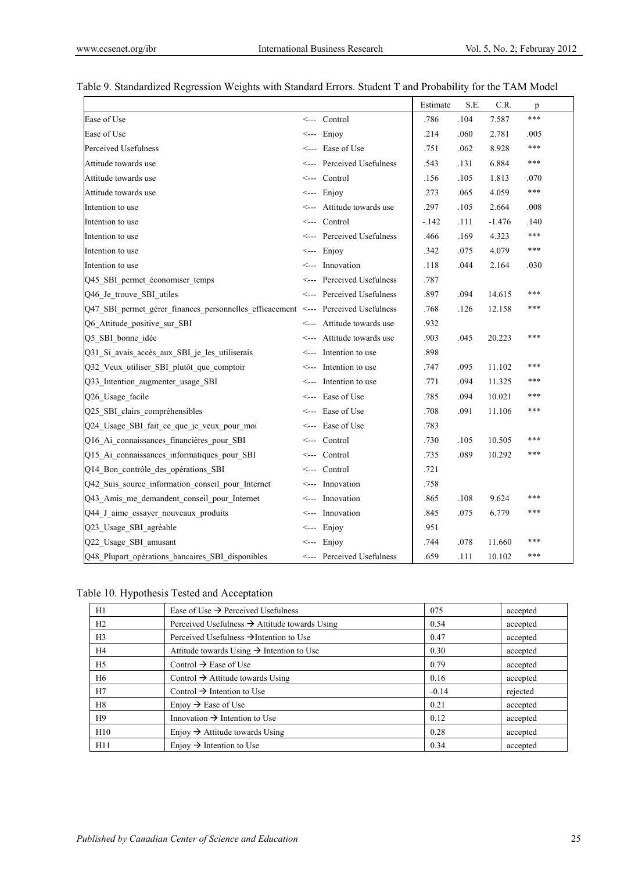|                                                                                   |                             | Estimate | S.E. | C.R.     | p    |
|-----------------------------------------------------------------------------------|-----------------------------|----------|------|----------|------|
| Ease of Use                                                                       | <--- Control                | .786     | .104 | 7.587    | ***  |
| Ease of Use                                                                       | $\leftarrow$ Enjoy          | .214     | .060 | 2.781    | .005 |
| Perceived Usefulness                                                              | <--- Ease of Use            | .751     | .062 | 8.928    | ***  |
| Attitude towards use                                                              | <--- Perceived Usefulness   | .543     | .131 | 6.884    | ***  |
| Attitude towards use                                                              | <--- Control                | .156     | .105 | 1.813    | .070 |
| Attitude towards use                                                              | $\leftarrow$ Enjoy          | .273     | .065 | 4.059    | ***  |
| Intention to use                                                                  | <--- Attitude towards use   | .297     | .105 | 2.664    | .008 |
| Intention to use                                                                  | <--- Control                | $-142$   | .111 | $-1.476$ | .140 |
| Intention to use                                                                  | <--- Perceived Usefulness   | .466     | .169 | 4.323    | ***  |
| Intention to use                                                                  | $\leftarrow$ -- Enjoy       | .342     | .075 | 4.079    | ***  |
| Intention to use                                                                  | <--- Innovation             | .118     | .044 | 2.164    | .030 |
| Q45 SBI permet économiser temps                                                   | <--- Perceived Usefulness   | .787     |      |          |      |
| Q46_Je_trouve_SBI_utiles                                                          | <--- Perceived Usefulness   | .897     | .094 | 14.615   | ***  |
| Q47_SBI_permet_gérer_finances_personnelles_efficacement <--- Perceived Usefulness |                             | .768     | .126 | 12.158   | ***  |
| Q6 Attitude positive sur SBI                                                      | <--- Attitude towards use   | .932     |      |          |      |
| Q5 SBI bonne idée                                                                 | <--- Attitude towards use   | .903     | .045 | 20.223   | ***  |
| Q31 Si avais accès aux SBI je les utiliserais                                     | $\leq$ --- Intention to use | .898     |      |          |      |
| Q32_Veux_utiliser_SBI_plutôt_que_comptoir                                         | <--- Intention to use       | .747     | .095 | 11.102   | ***  |
| Q33_Intention_augmenter_usage_SBI                                                 | <--- Intention to use       | .771     | .094 | 11.325   | ***  |
| Q26_Usage_facile                                                                  | <--- Ease of Use            | .785     | .094 | 10.021   | ***  |
| Q25_SBI_clairs_compréhensibles                                                    | <--- Ease of Use            | .708     | .091 | 11.106   | ***  |
| Q24_Usage_SBI_fait_ce_que_je_veux_pour_moi                                        | <--- Ease of Use            | .783     |      |          |      |
| Q16_Ai_connaissances_financières_pour_SBI                                         | <--- Control                | .730     | .105 | 10.505   | ***  |
| Q15 Ai connaissances informatiques pour SBI                                       | <--- Control                | .735     | .089 | 10.292   | ***  |
| Q14_Bon_contrôle_des_opérations_SBI                                               | $\leftarrow$ Control        | .721     |      |          |      |
| Q42_Suis_source_information_conseil_pour_Internet                                 | <--- Innovation             | .758     |      |          |      |
| Q43_Amis_me_demandent_conseil_pour_Internet                                       | <--- Innovation             | .865     | .108 | 9.624    | ***  |
| Q44_J_aime_essayer_nouveaux_produits                                              | <--- Innovation             | .845     | .075 | 6.779    | ***  |
| Q23_Usage_SBI_agréable                                                            | $\leftarrow$ -- Enjoy       | .951     |      |          |      |
| Q22_Usage_SBI_amusant                                                             | $\leftarrow$ -- Enjoy       | .744     | .078 | 11.660   | ***  |
| Q48_Plupart_opérations_bancaires_SBI_disponibles                                  | <--- Perceived Usefulness   | .659     | .111 | 10.102   | ***  |

### Table 9. Standardized Regression Weights with Standard Errors. Student T and Probability for the TAM Model

Table 10. Hypothesis Tested and Acceptation

| H1             | Ease of Use $\rightarrow$ Perceived Usefulness            | 075     | accepted |
|----------------|-----------------------------------------------------------|---------|----------|
| H2             | Perceived Usefulness $\rightarrow$ Attitude towards Using | 0.54    | accepted |
| H <sub>3</sub> | Perceived Usefulness $\rightarrow$ Intention to Use       | 0.47    | accepted |
| H4             | Attitude towards Using $\rightarrow$ Intention to Use     | 0.30    | accepted |
| H <sub>5</sub> | Control $\rightarrow$ Ease of Use                         | 0.79    | accepted |
| H6             | Control $\rightarrow$ Attitude towards Using              | 0.16    | accepted |
| H7             | Control $\rightarrow$ Intention to Use                    | $-0.14$ | rejected |
| H8             | Enjoy $\rightarrow$ Ease of Use                           | 0.21    | accepted |
| H <sup>9</sup> | Innovation $\rightarrow$ Intention to Use                 | 0.12    | accepted |
| H10            | Enjoy $\rightarrow$ Attitude towards Using                | 0.28    | accepted |
| H11            | Enjoy $\rightarrow$ Intention to Use                      | 0.34    | accepted |